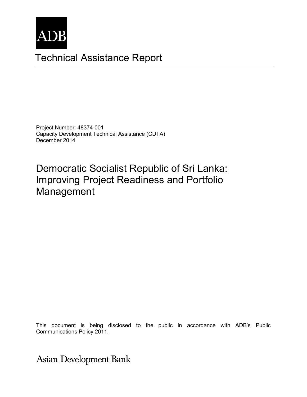

# Technical Assistance Report

Project Number: 48374-001 Capacity Development Technical Assistance (CDTA) December 2014

Democratic Socialist Republic of Sri Lanka: Improving Project Readiness and Portfolio Management

Communications Policy 2011. The consultant and do not necessarily represent those of ADB's of ADB's of ADB's of ADB's of ADB's of ADB's of ADB's of ADB's of ADB's of ADB's of ADB's of ADB's of ADB's of ADB's of ADB's of AD This document is being disclosed to the public in accordance with ADB's Public

**Asian Development Bank**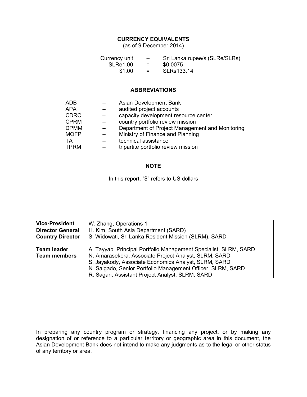#### **CURRENCY EQUIVALENTS**

(as of 9 December 2014)

| Currency unit   | $\overline{\phantom{0}}$ | Sri Lanka rupee/s (SLRe/SLRs) |
|-----------------|--------------------------|-------------------------------|
| <b>SLRe1.00</b> | $=$ $-$                  | \$0.0075                      |
| \$1.00          | $=$                      | SLRs133.14                    |

#### **ABBREVIATIONS**

| <b>ADB</b>  | Asian Development Bank                          |
|-------------|-------------------------------------------------|
| APA         | audited project accounts                        |
| <b>CDRC</b> | capacity development resource center            |
| <b>CPRM</b> | country portfolio review mission                |
| <b>DPMM</b> | Department of Project Management and Monitoring |
| <b>MOFP</b> | Ministry of Finance and Planning                |
| ТA          | technical assistance                            |
| <b>TPRM</b> | tripartite portfolio review mission             |
|             |                                                 |

#### **NOTE**

In this report, "\$" refers to US dollars

| <b>Vice-President</b>   | W. Zhang, Operations 1                                           |
|-------------------------|------------------------------------------------------------------|
| <b>Director General</b> | H. Kim, South Asia Department (SARD)                             |
| <b>Country Director</b> | S. Widowati, Sri Lanka Resident Mission (SLRM), SARD             |
|                         |                                                                  |
| <b>Team leader</b>      | A. Tayyab, Principal Portfolio Management Specialist, SLRM, SARD |
| <b>Team members</b>     | N. Amarasekera, Associate Project Analyst, SLRM, SARD            |
|                         | S. Jayakody, Associate Economics Analyst, SLRM, SARD             |
|                         | N. Salgado, Senior Portfolio Management Officer, SLRM, SARD      |
|                         | R. Sagari, Assistant Project Analyst, SLRM, SARD                 |

In preparing any country program or strategy, financing any project, or by making any designation of or reference to a particular territory or geographic area in this document, the Asian Development Bank does not intend to make any judgments as to the legal or other status of any territory or area.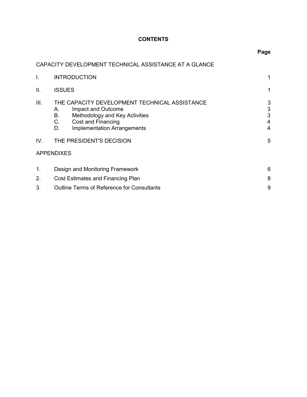# **CONTENTS**

# CAPACITY DEVELOPMENT TECHNICAL ASSISTANCE AT A GLANCE

| I.             | <b>INTRODUCTION</b>                                                                                                                                                                       |                       |
|----------------|-------------------------------------------------------------------------------------------------------------------------------------------------------------------------------------------|-----------------------|
| II.            | <b>ISSUES</b>                                                                                                                                                                             |                       |
| III.           | THE CAPACITY DEVELOPMENT TECHNICAL ASSISTANCE<br>Impact and Outcome<br>Α.<br>Methodology and Key Activities<br>В.<br>C.<br>Cost and Financing<br><b>Implementation Arrangements</b><br>D. | 3<br>3<br>3<br>4<br>4 |
| IV.            | THE PRESIDENT'S DECISION                                                                                                                                                                  | 5                     |
|                | <b>APPENDIXES</b>                                                                                                                                                                         |                       |
| 1 <sub>1</sub> | Design and Monitoring Framework                                                                                                                                                           | 6                     |
| 2.             | Cost Estimates and Financing Plan                                                                                                                                                         |                       |
| 3.             | <b>Outline Terms of Reference for Consultants</b>                                                                                                                                         | 9                     |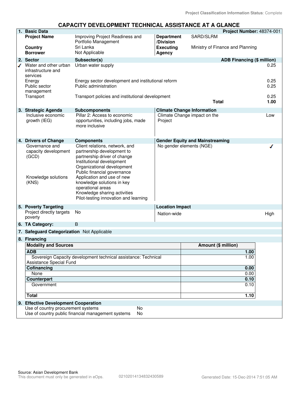#### **1. Basic Data Project Number:** 48374-001 SARD/SLRM **Project Name** Improving Project Readiness and **Department** Portfolio Management **/Division Country** Sri Lanka **Executing Executing** Ministry of Finance and Planning **Borrower** Not Applicable **Agency** 2. Sector **2. Sector Subsector(s) ADB Financing (\$ million)** Water and other urban Urban water supply 0.25 infrastructure and services Energy Energy sector development and institutional reform 0.25 Public sector Public administration 0.25 management Transport Transport policies and institutional development 0.25 **Total 1.00 3. Strategic Agenda Subcomponents Climate Change Information**  Inclusive economic Pillar 2: Access to economic Climate Change impact on the Low growth (IEG) opportunities, including jobs, made Project more inclusive **4. Drivers of Change Components Gender Equity and Mainstreaming** Client relations, network, and Governance and No gender elements (NGE) ı capacity development partnership development to (GCD) partnership driver of change Institutional development Organizational development Public financial governance Knowledge solutions Application and use of new (KNS) knowledge solutions in key operational areas Knowledge sharing activities Pilot-testing innovation and learning **5. Poverty Targeting Location Impact** Project directly targets No example and the Nation-wide contract the High High High poverty **6. TA Category:** B **7. Safeguard Categorization** Not Applicable **8. Financing Modality and Sources Amount (\$ million) ADB 1.00** Sovereign Capacity development technical assistance: Technical 1.00 **Assistance Special Fund<br>Cofinancing Cofinancing 0.00** None 0.00 **Counterpart 0.10 Counterpart 1.10 Counterpart 1.10 Counterpart 1.10 Counterpart 1.10 COUNTER Government** 0.10 **Total 1.10 9. Effective Development Cooperation** Use of country procurement systems No Use of country public financial management systems No

#### **CAPACITY DEVELOPMENT TECHNICAL ASSISTANCE AT A GLANCE**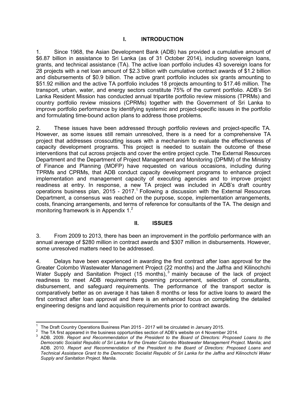#### **I. INTRODUCTION**

1. Since 1968, the Asian Development Bank (ADB) has provided a cumulative amount of \$6.87 billion in assistance to Sri Lanka (as of 31 October 2014), including sovereign loans, grants, and technical assistance (TA). The active loan portfolio includes 43 sovereign loans for 28 projects with a net loan amount of \$2.3 billion with cumulative contract awards of \$1.2 billion and disbursements of \$0.9 billion. The active grant portfolio includes six grants amounting to \$51.92 million and the active TA portfolio includes 18 projects amounting to \$17.46 million. The transport, urban, water, and energy sectors constitute 75% of the current portfolio. ADB's Sri Lanka Resident Mission has conducted annual tripartite portfolio review missions (TPRMs) and country portfolio review missions (CPRMs) together with the Government of Sri Lanka to improve portfolio performance by identifying systemic and project-specific issues in the portfolio and formulating time-bound action plans to address those problems.

2. These issues have been addressed through portfolio reviews and project-specific TA. However, as some issues still remain unresolved, there is a need for a comprehensive TA project that addresses crosscutting issues with a mechanism to evaluate the effectiveness of capacity development programs. This project is needed to sustain the outcome of these interventions that cut across projects and cover the entire project cycle. The External Resources Department and the Department of Project Management and Monitoring (DPMM) of the Ministry of Finance and Planning (MOFP) have requested on various occasions, including during TPRMs and CPRMs, that ADB conduct capacity development programs to enhance project implementation and management capacity of executing agencies and to improve project readiness at entry. In response, a new TA project was included in ADB's draft country operations business plan, 2015 - 2017.<sup>1</sup> Following a discussion with the External Resources Department, a consensus was reached on the purpose, scope, implementation arrangements, costs, financing arrangements, and terms of reference for consultants of the TA. The design and monitoring framework is in Appendix  $1<sup>2</sup>$ .

#### **II. ISSUES**

3. From 2009 to 2013, there has been an improvement in the portfolio performance with an annual average of \$280 million in contract awards and \$307 million in disbursements. However, some unresolved matters need to be addressed.

4. Delays have been experienced in awarding the first contract after loan approval for the Greater Colombo Wastewater Management Project (22 months) and the Jaffna and Kilinochchi Water Supply and Sanitation Project (15 months), $3$  mainly because of the lack of project readiness to meet ADB requirements governing procurement, selection of consultants, disbursement, and safeguard requirements. The performance of the transport sector is comparatively better as on average it has taken 8 months or less for active loans to award the first contract after loan approval and there is an enhanced focus on completing the detailed engineering designs and land acquisition requirements prior to contract awards.

 $\overline{1}$ 1 The Draft Country Operations Business Plan 2015 - 2017 will be circulated in January 2015.

<sup>2</sup> The TA first appeared in the business opportunities section of ADB's website on 4 November 2014.

<sup>3</sup> ADB. 2009. *Report and Recommendation of the President to the Board of Directors: Proposed Loans to the Democratic Socialist Republic of Sri Lanka for the Greater Colombo Wastewater Management Project.* Manila; and ADB. 2010. *Report and Recommendation of the President to the Board of Directors: Proposed Loans and Technical Assistance Grant to the Democratic Socialist Republic of Sri Lanka for the Jaffna and Kilinochchi Water Supply and Sanitation Project.* Manila.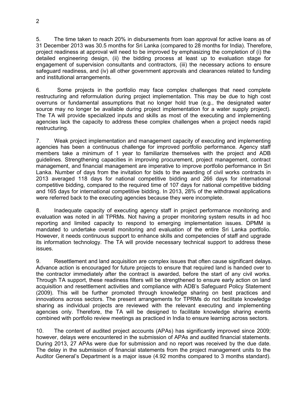5. The time taken to reach 20% in disbursements from loan approval for active loans as of 31 December 2013 was 30.5 months for Sri Lanka (compared to 28 months for India). Therefore, project readiness at approval will need to be improved by emphasizing the completion of (i) the detailed engineering design, (ii) the bidding process at least up to evaluation stage for engagement of supervision consultants and contractors, (iii) the necessary actions to ensure safeguard readiness, and (iv) all other government approvals and clearances related to funding and institutional arrangements.

6. Some projects in the portfolio may face complex challenges that need complete restructuring and reformulation during project implementation. This may be due to high cost overruns or fundamental assumptions that no longer hold true (e.g., the designated water source may no longer be available during project implementation for a water supply project). The TA will provide specialized inputs and skills as most of the executing and implementing agencies lack the capacity to address these complex challenges when a project needs rapid restructuring.

7. Weak project implementation and management capacity of executing and implementing agencies has been a continuous challenge for improved portfolio performance. Agency staff members take a minimum of 1 year to familiarize themselves with the project and ADB guidelines. Strengthening capacities in improving procurement, project management, contract management, and financial management are imperative to improve portfolio performance in Sri Lanka. Number of days from the invitation for bids to the awarding of civil works contracts in 2013 averaged 118 days for national competitive bidding and 266 days for international competitive bidding, compared to the required time of 107 days for national competitive bidding and 165 days for international competitive bidding. In 2013, 28% of the withdrawal applications were referred back to the executing agencies because they were incomplete.

8. Inadequate capacity of executing agency staff in project performance monitoring and evaluation was noted in all TPRMs. Not having a proper monitoring system results in ad hoc reporting and limited capacity to respond to emerging implementation issues. DPMM is mandated to undertake overall monitoring and evaluation of the entire Sri Lanka portfolio. However, it needs continuous support to enhance skills and competencies of staff and upgrade its information technology. The TA will provide necessary technical support to address these issues.

9. Resettlement and land acquisition are complex issues that often cause significant delays. Advance action is encouraged for future projects to ensure that required land is handed over to the contractor immediately after the contract is awarded, before the start of any civil works. Through TA support, these readiness filters will be strengthened to ensure early action on land acquisition and resettlement activities and compliance with ADB's Safeguard Policy Statement (2009). This will be further promoted through knowledge sharing on best practices and innovations across sectors. The present arrangements for TPRMs do not facilitate knowledge sharing as individual projects are reviewed with the relevant executing and implementing agencies only. Therefore, the TA will be designed to facilitate knowledge sharing events combined with portfolio review meetings as practiced in India to ensure learning across sectors.

10. The content of audited project accounts (APAs) has significantly improved since 2009; however, delays were encountered in the submission of APAs and audited financial statements. During 2013, 27 APAs were due for submission and no report was received by the due date. The delay in the submission of financial statements from the project management units to the Auditor General's Department is a major issue (4.92 months compared to 3 months standard).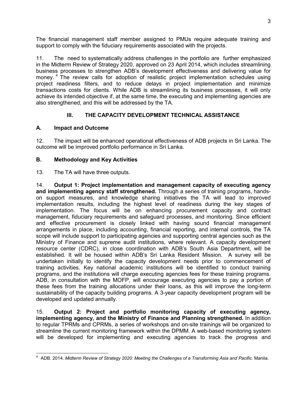The financial management staff member assigned to PMUs require adequate training and support to comply with the fiduciary requirements associated with the projects.

11. The need to systematically address challenges in the portfolio are further emphasized in the Midterm Review of Strategy 2020, approved on 23 April 2014, which includes streamlining business processes to strengthen ADB's development effectiveness and delivering value for money.<sup>4</sup> The review calls for adoption of realistic project implementation schedules using project readiness filters, and to reduce delays in project implementation and minimize transactions costs for clients. While ADB is streamlining its business processes, it will only achieve its intended objective if, at the same time, the executing and implementing agencies are also strengthened, and this will be addressed by the TA.

### **III. THE CAPACITY DEVELOPMENT TECHNICAL ASSISTANCE**

#### **A. Impact and Outcome**

12. The impact will be enhanced operational effectiveness of ADB projects in Sri Lanka. The outcome will be improved portfolio performance in Sri Lanka.

### **B. Methodology and Key Activities**

13. The TA will have three outputs.

14. **Output 1: Project implementation and management capacity of executing agency and implementing agency staff strengthened.** Through a series of training programs, handson support measures, and knowledge sharing initiatives the TA will lead to improved implementation results, including the highest level of readiness during the key stages of implementation. The focus will be on enhancing procurement capacity and contract management, fiduciary requirements and safeguard processes, and monitoring. Since efficient and effective procurement is closely linked with having sound financial management arrangements in place, including accounting, financial reporting, and internal controls, the TA scope will include support to participating agencies and supporting central agencies such as the Ministry of Finance and supreme audit institutions, where relevant. A capacity development resource center (CDRC), in close coordination with ADB's South Asia Department, will be established. It will be housed within ADB's Sri Lanka Resident Mission. A survey will be undertaken initially to identify the capacity development needs prior to commencement of training activities. Key national academic institutions will be identified to conduct training programs, and the institutions will charge executing agencies fees for these training programs. ADB, in consultation with the MOFP, will encourage executing agencies to pay a portion of these fees from the training allocations under their loans, as this will improve the long-term sustainability of the capacity building programs. A 3-year capacity development program will be developed and updated annually.

15. **Output 2: Project and portfolio monitoring capacity of executing agency, implementing agency, and the Ministry of Finance and Planning strengthened.** In addition to regular TPRMs and CPRMs, a series of workshops and on-site trainings will be organized to streamline the current monitoring framework within the DPMM. A web-based monitoring system will be developed for implementing and executing agencies to track the progress and

 4 ADB. 2014. *Midterm Review of Strategy 2020: Meeting the Challenges of a Transforming Asia and Pacific.* Manila.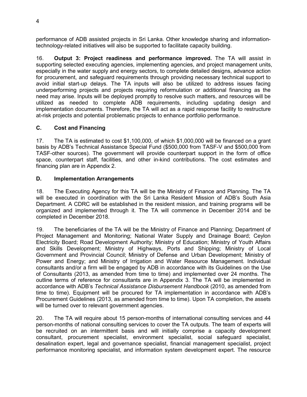performance of ADB assisted projects in Sri Lanka. Other knowledge sharing and informationtechnology-related initiatives will also be supported to facilitate capacity building.

16. **Output 3: Project readiness and performance improved.** The TA will assist in supporting selected executing agencies, implementing agencies, and project management units, especially in the water supply and energy sectors, to complete detailed designs, advance action for procurement, and safeguard requirements through providing necessary technical support to avoid initial start-up delays. The TA inputs will also be utilized to address issues facing underperforming projects and projects requiring reformulation or additional financing as the need may arise. Inputs will be deployed promptly to resolve such matters, and resources will be utilized as needed to complete ADB requirements, including updating design and implementation documents. Therefore, the TA will act as a rapid response facility to restructure at-risk projects and potential problematic projects to enhance portfolio performance.

#### **C. Cost and Financing**

17. The TA is estimated to cost \$1,100,000, of which \$1,000,000 will be financed on a grant basis by ADB's Technical Assistance Special Fund (\$500,000 from TASF-V and \$500,000 from TASF-other sources). The government will provide counterpart support in the form of office space, counterpart staff, facilities, and other in-kind contributions. The cost estimates and financing plan are in Appendix 2.

#### **D. Implementation Arrangements**

18. The Executing Agency for this TA will be the Ministry of Finance and Planning. The TA will be executed in coordination with the Sri Lanka Resident Mission of ADB's South Asia Department. A CDRC will be established in the resident mission, and training programs will be organized and implemented through it. The TA will commence in December 2014 and be completed in December 2018.

19. The beneficiaries of the TA will be the Ministry of Finance and Planning; Department of Project Management and Monitoring; National Water Supply and Drainage Board; Ceylon Electricity Board; Road Development Authority; Ministry of Education; Ministry of Youth Affairs and Skills Development; Ministry of Highways, Ports and Shipping; Ministry of Local Government and Provincial Council; Ministry of Defense and Urban Development; Ministry of Power and Energy; and Ministry of Irrigation and Water Resource Management. Individual consultants and/or a firm will be engaged by ADB in accordance with its Guidelines on the Use of Consultants (2013, as amended from time to time) and implemented over 24 months. The outline terms of reference for consultants are in Appendix 3. The TA will be implemented in accordance with ADB's *Technical Assistance Disbursement Handbook* (2010, as amended from time to time). Equipment will be procured for TA implementation in accordance with ADB's Procurement Guidelines (2013, as amended from time to time). Upon TA completion, the assets will be turned over to relevant government agencies.

20. The TA will require about 15 person-months of international consulting services and 44 person-months of national consulting services to cover the TA outputs. The team of experts will be recruited on an intermittent basis and will initially comprise a capacity development consultant, procurement specialist, environment specialist, social safeguard specialist, desalination expert, legal and governance specialist, financial management specialist, project performance monitoring specialist, and information system development expert. The resource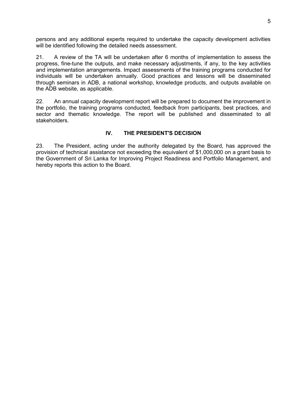persons and any additional experts required to undertake the capacity development activities will be identified following the detailed needs assessment.

21. A review of the TA will be undertaken after 6 months of implementation to assess the progress, fine-tune the outputs, and make necessary adjustments, if any, to the key activities and implementation arrangements. Impact assessments of the training programs conducted for individuals will be undertaken annually. Good practices and lessons will be disseminated through seminars in ADB, a national workshop, knowledge products, and outputs available on the ADB website, as applicable.

22. An annual capacity development report will be prepared to document the improvement in the portfolio, the training programs conducted, feedback from participants, best practices, and sector and thematic knowledge. The report will be published and disseminated to all stakeholders.

#### **IV. THE PRESIDENT'S DECISION**

23. The President, acting under the authority delegated by the Board, has approved the provision of technical assistance not exceeding the equivalent of \$1,000,000 on a grant basis to the Government of Sri Lanka for Improving Project Readiness and Portfolio Management, and hereby reports this action to the Board.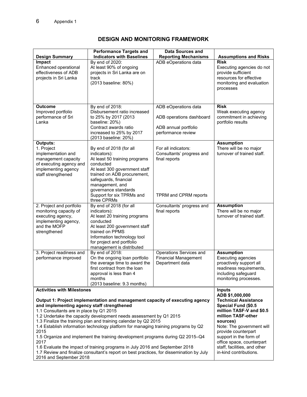# **DESIGN AND MONITORING FRAMEWORK**

|                                                                                                                                                                                                                                                                                                                                                                                                                                                                                                                                                                                                                                                                                                                                                    | <b>Performance Targets and</b><br><b>Indicators with Baselines</b>                                                                                                                                                                                                    | <b>Data Sources and</b><br><b>Reporting Mechanisms</b>                                         | <b>Assumptions and Risks</b>                                                                                                                                                                                                                                                                                              |
|----------------------------------------------------------------------------------------------------------------------------------------------------------------------------------------------------------------------------------------------------------------------------------------------------------------------------------------------------------------------------------------------------------------------------------------------------------------------------------------------------------------------------------------------------------------------------------------------------------------------------------------------------------------------------------------------------------------------------------------------------|-----------------------------------------------------------------------------------------------------------------------------------------------------------------------------------------------------------------------------------------------------------------------|------------------------------------------------------------------------------------------------|---------------------------------------------------------------------------------------------------------------------------------------------------------------------------------------------------------------------------------------------------------------------------------------------------------------------------|
| <b>Design Summary</b><br>Impact<br>Enhanced operational<br>effectiveness of ADB<br>projects in Sri Lanka                                                                                                                                                                                                                                                                                                                                                                                                                                                                                                                                                                                                                                           | By end of 2020:<br>At least 90% of ongoing<br>projects in Sri Lanka are on<br>track<br>(2013 baseline: 80%)                                                                                                                                                           | ADB eOperations data                                                                           | <b>Risk</b><br>Executing agencies do not<br>provide sufficient<br>resources for effective<br>monitoring and evaluation<br>processes                                                                                                                                                                                       |
| Outcome<br>Improved portfolio<br>performance of Sri<br>Lanka                                                                                                                                                                                                                                                                                                                                                                                                                                                                                                                                                                                                                                                                                       | By end of 2018:<br>Disbursement ratio increased<br>to 25% by 2017 (2013<br>baseline: 20%)<br>Contract awards ratio<br>increased to 25% by 2017<br>(2013 baseline: 20%)                                                                                                | ADB eOperations data<br>ADB operations dashboard<br>ADB annual portfolio<br>performance review | <b>Risk</b><br>Weak executing agency<br>commitment in achieving<br>portfolio results                                                                                                                                                                                                                                      |
| <b>Outputs:</b><br>1. Project<br>implementation and<br>management capacity<br>of executing agency and<br>implementing agency<br>staff strengthened                                                                                                                                                                                                                                                                                                                                                                                                                                                                                                                                                                                                 | By end of 2018 (for all<br>indicators):<br>At least 50 training programs<br>conducted<br>At least 300 government staff<br>trained on ADB procurement,<br>safeguards, financial<br>management, and<br>governance standards<br>Support for six TPRMs and<br>three CPRMs | For all indicators:<br>Consultants' progress and<br>final reports<br>TPRM and CPRM reports     | <b>Assumption</b><br>There will be no major<br>turnover of trained staff.                                                                                                                                                                                                                                                 |
| 2. Project and portfolio<br>monitoring capacity of<br>executing agency,<br>implementing agency,<br>and the MOFP<br>strengthened                                                                                                                                                                                                                                                                                                                                                                                                                                                                                                                                                                                                                    | By end of 2018 (for all<br>indicators):<br>At least 20 training programs<br>conducted<br>At least 200 government staff<br>trained on PPMS<br>Information technology tool<br>for project and portfolio<br>management is distributed                                    | Consultants' progress and<br>final reports                                                     | <b>Assumption</b><br>There will be no major<br>turnover of trained staff.                                                                                                                                                                                                                                                 |
| 3. Project readiness and<br>performance improved                                                                                                                                                                                                                                                                                                                                                                                                                                                                                                                                                                                                                                                                                                   | By end of 2018:<br>On the ongoing loan portfolio<br>the average time to award the<br>first contract from the loan<br>approval is less than 4<br>months<br>(2013 baseline: 9.3 months)                                                                                 | Operations Services and<br><b>Financial Management</b><br>Department data                      | <b>Assumption</b><br><b>Executing agencies</b><br>proactively support all<br>readiness requirements,<br>including safeguard<br>monitoring processes.                                                                                                                                                                      |
| <b>Activities with Milestones</b><br>Output 1: Project implementation and management capacity of executing agency<br>and implementing agency staff strengthened<br>1.1 Consultants are in place by Q1 2015<br>1.2 Undertake the capacity development needs assessment by Q1 2015<br>1.3 Finalize the training plan and training calendar by Q2 2015<br>1.4 Establish information technology platform for managing training programs by Q2<br>2015<br>1.5 Organize and implement the training development programs during Q2 2015-Q4<br>2017<br>1.6 Evaluate the impact of training programs in July 2016 and September 2018<br>1.7 Review and finalize consultant's report on best practices, for dissemination by July<br>2016 and September 2018 |                                                                                                                                                                                                                                                                       |                                                                                                | <b>Inputs</b><br>ADB \$1,000,000<br><b>Technical Assistance</b><br>Special Fund (\$0.5<br>million TASF-V and \$0.5<br>million TASF-other<br>sources)<br>Note: The government will<br>provide counterpart<br>support in the form of<br>office space, counterpart<br>staff, facilities, and other<br>in-kind contributions. |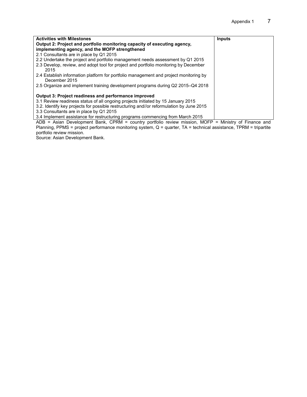| <b>Activities with Milestones</b>                                                                                                                                                                                                          | Inputs |
|--------------------------------------------------------------------------------------------------------------------------------------------------------------------------------------------------------------------------------------------|--------|
| Output 2: Project and portfolio monitoring capacity of executing agency,                                                                                                                                                                   |        |
| implementing agency, and the MOFP strengthened                                                                                                                                                                                             |        |
| 2.1 Consultants are in place by Q1 2015                                                                                                                                                                                                    |        |
| 2.2 Undertake the project and portfolio management needs assessment by Q1 2015                                                                                                                                                             |        |
| 2.3 Develop, review, and adopt tool for project and portfolio monitoring by December<br>2015                                                                                                                                               |        |
| 2.4 Establish information platform for portfolio management and project monitoring by<br>December 2015                                                                                                                                     |        |
| 2.5 Organize and implement training development programs during Q2 2015–Q4 2018                                                                                                                                                            |        |
| <b>Output 3: Project readiness and performance improved</b><br>3.1 Review readiness status of all ongoing projects initiated by 15 January 2015<br>3.2. Identify key projects for possible restructuring and/or reformulation by June 2015 |        |
|                                                                                                                                                                                                                                            |        |
| 3.3 Consultants are in place by Q1 2015                                                                                                                                                                                                    |        |
| 3.4 Implement assistance for restructuring programs commencing from March 2015                                                                                                                                                             |        |

ADB = Asian Development Bank, CPRM = country portfolio review mission, MOFP = Ministry of Finance and Planning, PPMS = project performance monitoring system, Q = quarter, TA = technical assistance, TPRM = tripartite portfolio review mission.

Source: Asian Development Bank.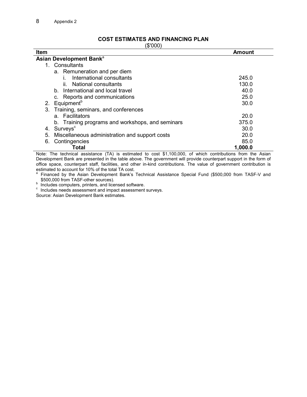#### **COST ESTIMATES AND FINANCING PLAN**

(\$'000)

| $\downarrow$ $\vee$ $\vee$ $\vee$ $\vee$<br><b>Item</b> | <b>Amount</b> |
|---------------------------------------------------------|---------------|
| Asian Development Bank <sup>a</sup>                     |               |
| 1. Consultants                                          |               |
| a. Remuneration and per diem                            |               |
| International consultants                               | 245.0         |
|                                                         |               |
| National consultants<br>İİ.                             | 130.0         |
| b. International and local travel                       | 40.0          |
| c. Reports and communications                           | 25.0          |
| 2. Equipment <sup>b</sup>                               | 30.0          |
| 3.<br>Training, seminars, and conferences               |               |
| a. Facilitators                                         | 20.0          |
| b. Training programs and workshops, and seminars        | 375.0         |
| Surveys <sup>c</sup><br>4.                              | 30.0          |
| 5.<br>Miscellaneous administration and support costs    | 20.0          |
| Contingencies<br>6.                                     | 85.0          |
| Total                                                   | 1,000.0       |

Note: The technical assistance (TA) is estimated to cost \$1,100,000, of which contributions from the Asian Development Bank are presented in the table above. The government will provide counterpart support in the form of office space, counterpart staff, facilities, and other in-kind contributions. The value of government contribution is estimated to account for 10% of the total TA cost.<br>a Einanced by the Asian Dovelopment Bank's

 Financed by the Asian Development Bank's Technical Assistance Special Fund (\$500,000 from TASF-V and \$500,000 from TASF-other sources).

b Includes computers, printers, and licensed software.

 $\cdot$  Includes needs assessment and impact assessment surveys.

Source: Asian Development Bank estimates.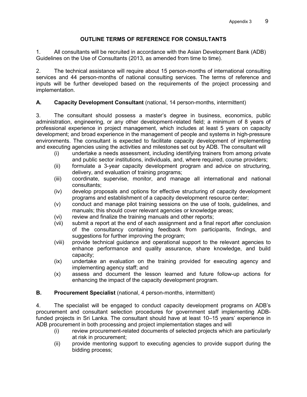#### **OUTLINE TERMS OF REFERENCE FOR CONSULTANTS**

1. All consultants will be recruited in accordance with the Asian Development Bank (ADB) Guidelines on the Use of Consultants (2013, as amended from time to time).

2. The technical assistance will require about 15 person-months of international consulting services and 44 person-months of national consulting services. The terms of reference and inputs will be further developed based on the requirements of the project processing and implementation.

#### **A. Capacity Development Consultant** (national, 14 person-months, intermittent)

3. The consultant should possess a master's degree in business, economics, public administration, engineering, or any other development-related field; a minimum of 8 years of professional experience in project management, which includes at least 5 years on capacity development; and broad experience in the management of people and systems in high-pressure environments. The consultant is expected to facilitate capacity development of implementing and executing agencies using the activities and milestones set out by ADB. The consultant will

- (i) undertake a needs assessment, including identifying trainers from among private and public sector institutions, individuals, and, where required, course providers;
- (ii) formulate a 3-year capacity development program and advice on structuring, delivery, and evaluation of training programs;
- (iii) coordinate, supervise, monitor, and manage all international and national consultants;
- (iv) develop proposals and options for effective structuring of capacity development programs and establishment of a capacity development resource center;
- (v) conduct and manage pilot training sessions on the use of tools, guidelines, and manuals; this should cover relevant agencies or knowledge areas;
- (vi) review and finalize the training manuals and other reports;
- (vii) submit a report at the end of each assignment and a final report after conclusion of the consultancy containing feedback from participants, findings, and suggestions for further improving the program;
- (viii) provide technical guidance and operational support to the relevant agencies to enhance performance and quality assurance, share knowledge, and build capacity;
- (ix) undertake an evaluation on the training provided for executing agency and implementing agency staff; and
- (x) assess and document the lesson learned and future follow-up actions for enhancing the impact of the capacity development program.

#### **B. Procurement Specialist** (national, 4 person-months, intermittent)

4. The specialist will be engaged to conduct capacity development programs on ADB's procurement and consultant selection procedures for government staff implementing ADBfunded projects in Sri Lanka. The consultant should have at least 10–15 years' experience in ADB procurement in both processing and project implementation stages and will

- (i) review procurement-related documents of selected projects which are particularly at risk in procurement;
- (ii) provide mentoring support to executing agencies to provide support during the bidding process;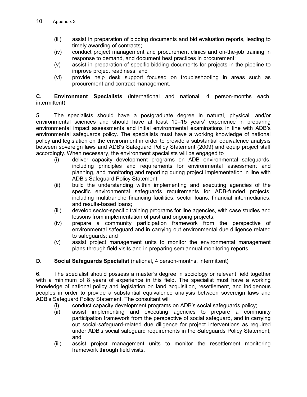- (iii) assist in preparation of bidding documents and bid evaluation reports, leading to timely awarding of contracts;
- (iv) conduct project management and procurement clinics and on-the-job training in response to demand, and document best practices in procurement;
- (v) assist in preparation of specific bidding documents for projects in the pipeline to improve project readiness; and
- (vi) provide help desk support focused on troubleshooting in areas such as procurement and contract management.

**C. Environment Specialists** (international and national, 4 person-months each, intermittent)

5. The specialists should have a postgraduate degree in natural, physical, and/or environmental sciences and should have at least 10–15 years' experience in preparing environmental impact assessments and initial environmental examinations in line with ADB's environmental safeguards policy. The specialists must have a working knowledge of national policy and legislation on the environment in order to provide a substantial equivalence analysis between sovereign laws and ADB's Safeguard Policy Statement (2009) and equip project staff accordingly. When necessary, the environment specialists will be engaged to

- (i) deliver capacity development programs on ADB environmental safeguards, including principles and requirements for environmental assessment and planning, and monitoring and reporting during project implementation in line with ADB's Safeguard Policy Statement;
- (ii) build the understanding within implementing and executing agencies of the specific environmental safeguards requirements for ADB-funded projects, including multitranche financing facilities, sector loans, financial intermediaries, and results-based loans;
- (iii) develop sector-specific training programs for line agencies, with case studies and lessons from implementation of past and ongoing projects;
- (iv) prepare a community participation framework from the perspective of environmental safeguard and in carrying out environmental due diligence related to safeguards; and
- (v) assist project management units to monitor the environmental management plans through field visits and in preparing semiannual monitoring reports.

#### **D. Social Safeguards Specialist** (national, 4 person-months, intermittent)

6. The specialist should possess a master's degree in sociology or relevant field together with a minimum of 8 years of experience in this field. The specialist must have a working knowledge of national policy and legislation on land acquisition, resettlement, and indigenous peoples in order to provide a substantial equivalence analysis between sovereign laws and ADB's Safeguard Policy Statement. The consultant will

- (i) conduct capacity development programs on ADB's social safeguards policy;
- (ii) assist implementing and executing agencies to prepare a community participation framework from the perspective of social safeguard, and in carrying out social-safeguard-related due diligence for project interventions as required under ADB's social safeguard requirements in the Safeguards Policy Statement; and
- (iii) assist project management units to monitor the resettlement monitoring framework through field visits.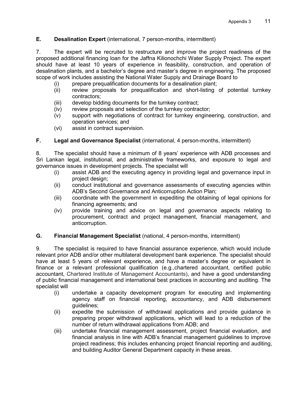#### **E. Desalination Expert** (international, 7 person-months, intermittent)

7. The expert will be recruited to restructure and improve the project readiness of the proposed additional financing loan for the Jaffna Kilionochchi Water Supply Project. The expert should have at least 10 years of experience in feasibility, construction, and operation of desalination plants, and a bachelor's degree and master's degree in engineering. The proposed scope of work includes assisting the National Water Supply and Drainage Board to

- (i) prepare prequalification documents for a desalination plant;
- (ii) review proposals for prequalification and short-listing of potential turnkey contractors;
- (iii) develop bidding documents for the turnkey contract;
- (iv) review proposals and selection of the turnkey contractor;
- (v) support with negotiations of contract for turnkey engineering, construction, and operation services; and
- (vi) assist in contract supervision.

#### **F. Legal and Governance Specialist** (international, 4 person-months, intermittent)

8. The specialist should have a minimum of 8 years' experience with ADB processes and Sri Lankan legal, institutional, and administrative frameworks, and exposure to legal and governance issues in development projects. The specialist will

- (i) assist ADB and the executing agency in providing legal and governance input in project design;
- (ii) conduct institutional and governance assessments of executing agencies within ADB's Second Governance and Anticorruption Action Plan;
- (iii) coordinate with the government in expediting the obtaining of legal opinions for financing agreements; and
- (iv) provide training and advice on legal and governance aspects relating to procurement, contract and project management, financial management, and anticorruption.

#### **G. Financial Management Specialist** (national, 4 person-months, intermittent)

9. The specialist is required to have financial assurance experience, which would include relevant prior ADB and/or other multilateral development bank experience. The specialist should have at least 5 years of relevant experience, and have a master's degree or equivalent in finance or a relevant professional qualification (e.g.,chartered accountant, certified public accountant, Chartered Institute of Management Accountants), and have a good understanding of public financial management and international best practices in accounting and auditing. The specialist will

- (i) undertake a capacity development program for executing and implementing agency staff on financial reporting, accountancy, and ADB disbursement guidelines;
- (ii) expedite the submission of withdrawal applications and provide guidance in preparing proper withdrawal applications, which will lead to a reduction of the number of return withdrawal applications from ADB; and
- (iii) undertake financial management assessment, project financial evaluation, and financial analysis in line with ADB's financial management guidelines to improve project readiness; this includes enhancing project financial reporting and auditing, and building Auditor General Department capacity in these areas.